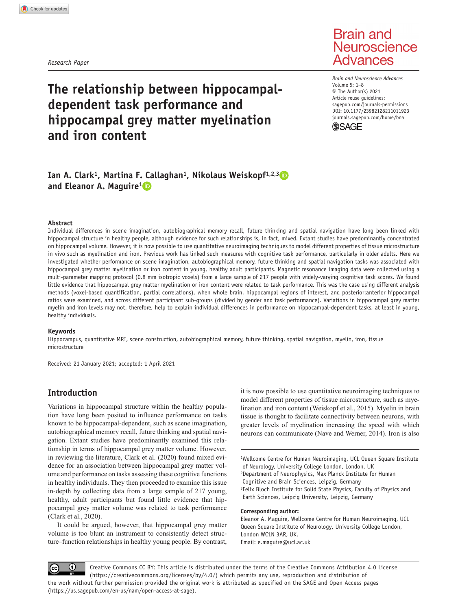*Research Paper*

# **Brain and** Neuroscience **Advances**

# **The relationship between hippocampaldependent task performance and hippocampal grey matter myelination and iron content**

DOI: 10.1177/23982128211011923 *Brain and Neuroscience Advances* Volume 5: 1–8 © The Author(s) 2021 Article reuse guidelines: [sagepub.com/journals-permissions](https://uk.sagepub.com/en-gb/journals-permissions) [journals.sagepub.com/home/bna](https://journals.sagepub.com/home/bna)



# Ian A. Clark<sup>1</sup>, Martina F. Callaghan<sup>1</sup>, Nikolaus Weiskopf<sup>1,2,3</sup> **and Eleanor A. Maguire1**

#### **Abstract**

Individual differences in scene imagination, autobiographical memory recall, future thinking and spatial navigation have long been linked with hippocampal structure in healthy people, although evidence for such relationships is, in fact, mixed. Extant studies have predominantly concentrated on hippocampal volume. However, it is now possible to use quantitative neuroimaging techniques to model different properties of tissue microstructure in vivo such as myelination and iron. Previous work has linked such measures with cognitive task performance, particularly in older adults. Here we investigated whether performance on scene imagination, autobiographical memory, future thinking and spatial navigation tasks was associated with hippocampal grey matter myelination or iron content in young, healthy adult participants. Magnetic resonance imaging data were collected using a multi-parameter mapping protocol (0.8 mm isotropic voxels) from a large sample of 217 people with widely-varying cognitive task scores. We found little evidence that hippocampal grey matter myelination or iron content were related to task performance. This was the case using different analysis methods (voxel-based quantification, partial correlations), when whole brain, hippocampal regions of interest, and posterior:anterior hippocampal ratios were examined, and across different participant sub-groups (divided by gender and task performance). Variations in hippocampal grey matter myelin and iron levels may not, therefore, help to explain individual differences in performance on hippocampal-dependent tasks, at least in young, healthy individuals.

#### **Keywords**

Hippocampus, quantitative MRI, scene construction, autobiographical memory, future thinking, spatial navigation, myelin, iron, tissue microstructure

Received: 21 January 2021; accepted: 1 April 2021

# **Introduction**

Variations in hippocampal structure within the healthy population have long been posited to influence performance on tasks known to be hippocampal-dependent, such as scene imagination, autobiographical memory recall, future thinking and spatial navigation. Extant studies have predominantly examined this relationship in terms of hippocampal grey matter volume. However, in reviewing the literature, Clark et al. (2020) found mixed evidence for an association between hippocampal grey matter volume and performance on tasks assessing these cognitive functions in healthy individuals. They then proceeded to examine this issue in-depth by collecting data from a large sample of 217 young, healthy, adult participants but found little evidence that hippocampal grey matter volume was related to task performance (Clark et al., 2020).

It could be argued, however, that hippocampal grey matter volume is too blunt an instrument to consistently detect structure–function relationships in healthy young people. By contrast,

it is now possible to use quantitative neuroimaging techniques to model different properties of tissue microstructure, such as myelination and iron content (Weiskopf et al., 2015). Myelin in brain tissue is thought to facilitate connectivity between neurons, with greater levels of myelination increasing the speed with which neurons can communicate (Nave and Werner, 2014). Iron is also

<sup>1</sup>Wellcome Centre for Human Neuroimaging, UCL Queen Square Institute of Neurology, University College London, London, UK 2Department of Neurophysics, Max Planck Institute for Human Cognitive and Brain Sciences, Leipzig, Germany <sup>3</sup>Felix Bloch Institute for Solid State Physics, Faculty of Physics and Earth Sciences, Leipzig University, Leipzig, Germany

#### **Corresponding author:**

Eleanor A. Maguire, Wellcome Centre for Human Neuroimaging, UCL Queen Square Institute of Neurology, University College London, London WC1N 3AR, UK. Email: [e.maguire@ucl.ac.uk](mailto:e.maguire@ucl.ac.uk)

 $\bf \odot$ Creative Commons CC BY: This article is distributed under the terms of the Creative Commons Attribution 4.0 License (https://creativecommons.org/licenses/by/4.0/) which permits any use, reproduction and distribution of the work without further permission provided the original work is attributed as specified on the SAGE and Open Access pages (https://us.sagepub.com/en-us/nam/open-access-at-sage).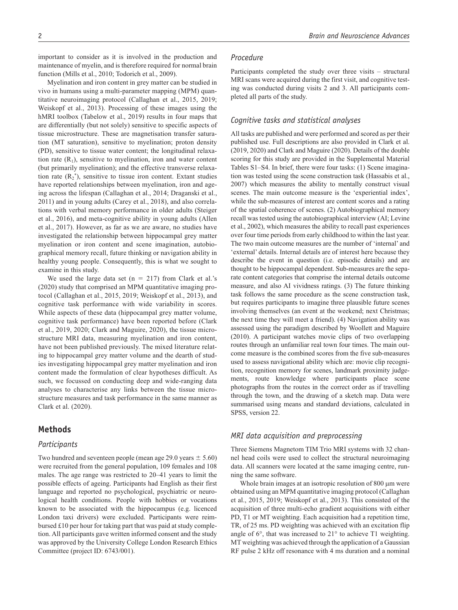important to consider as it is involved in the production and maintenance of myelin, and is therefore required for normal brain function (Mills et al., 2010; Todorich et al., 2009).

Myelination and iron content in grey matter can be studied in vivo in humans using a multi-parameter mapping (MPM) quantitative neuroimaging protocol (Callaghan et al., 2015, 2019; Weiskopf et al., 2013). Processing of these images using the hMRI toolbox (Tabelow et al., 2019) results in four maps that are differentially (but not solely) sensitive to specific aspects of tissue microstructure. These are magnetisation transfer saturation (MT saturation), sensitive to myelination; proton density (PD), sensitive to tissue water content; the longitudinal relaxation rate  $(R_1)$ , sensitive to myelination, iron and water content (but primarily myelination); and the effective transverse relaxation rate  $(R_2^*)$ , sensitive to tissue iron content. Extant studies have reported relationships between myelination, iron and ageing across the lifespan (Callaghan et al., 2014; Draganski et al., 2011) and in young adults (Carey et al., 2018), and also correlations with verbal memory performance in older adults (Steiger et al., 2016), and meta-cognitive ability in young adults (Allen et al., 2017). However, as far as we are aware, no studies have investigated the relationship between hippocampal grey matter myelination or iron content and scene imagination, autobiographical memory recall, future thinking or navigation ability in healthy young people. Consequently, this is what we sought to examine in this study.

We used the large data set ( $n = 217$ ) from Clark et al.'s (2020) study that comprised an MPM quantitative imaging protocol (Callaghan et al., 2015, 2019; Weiskopf et al., 2013), and cognitive task performance with wide variability in scores. While aspects of these data (hippocampal grey matter volume, cognitive task performance) have been reported before (Clark et al., 2019, 2020; Clark and Maguire, 2020), the tissue microstructure MRI data, measuring myelination and iron content, have not been published previously. The mixed literature relating to hippocampal grey matter volume and the dearth of studies investigating hippocampal grey matter myelination and iron content made the formulation of clear hypotheses difficult. As such, we focussed on conducting deep and wide-ranging data analyses to characterise any links between the tissue microstructure measures and task performance in the same manner as Clark et al. (2020).

# **Methods**

## *Participants*

Two hundred and seventeen people (mean age 29.0 years  $\pm$  5.60) were recruited from the general population, 109 females and 108 males. The age range was restricted to 20–41 years to limit the possible effects of ageing. Participants had English as their first language and reported no psychological, psychiatric or neurological health conditions. People with hobbies or vocations known to be associated with the hippocampus (e.g. licenced London taxi drivers) were excluded. Participants were reimbursed £10 per hour for taking part that was paid at study completion. All participants gave written informed consent and the study was approved by the University College London Research Ethics Committee (project ID: 6743/001).

## *Procedure*

Participants completed the study over three visits – structural MRI scans were acquired during the first visit, and cognitive testing was conducted during visits 2 and 3. All participants completed all parts of the study.

# *Cognitive tasks and statistical analyses*

All tasks are published and were performed and scored as per their published use. Full descriptions are also provided in Clark et al. (2019, 2020) and Clark and Maguire (2020). Details of the double scoring for this study are provided in the Supplemental Material Tables S1–S4. In brief, there were four tasks: (1) Scene imagination was tested using the scene construction task (Hassabis et al., 2007) which measures the ability to mentally construct visual scenes. The main outcome measure is the 'experiential index', while the sub-measures of interest are content scores and a rating of the spatial coherence of scenes. (2) Autobiographical memory recall was tested using the autobiographical interview (AI; Levine et al., 2002), which measures the ability to recall past experiences over four time periods from early childhood to within the last year. The two main outcome measures are the number of 'internal' and 'external' details. Internal details are of interest here because they describe the event in question (i.e. episodic details) and are thought to be hippocampal dependent. Sub-measures are the separate content categories that comprise the internal details outcome measure, and also AI vividness ratings. (3) The future thinking task follows the same procedure as the scene construction task, but requires participants to imagine three plausible future scenes involving themselves (an event at the weekend; next Christmas; the next time they will meet a friend). (4) Navigation ability was assessed using the paradigm described by Woollett and Maguire (2010). A participant watches movie clips of two overlapping routes through an unfamiliar real town four times. The main outcome measure is the combined scores from the five sub-measures used to assess navigational ability which are: movie clip recognition, recognition memory for scenes, landmark proximity judgements, route knowledge where participants place scene photographs from the routes in the correct order as if travelling through the town, and the drawing of a sketch map. Data were summarised using means and standard deviations, calculated in SPSS, version 22.

# *MRI data acquisition and preprocessing*

Three Siemens Magnetom TIM Trio MRI systems with 32 channel head coils were used to collect the structural neuroimaging data. All scanners were located at the same imaging centre, running the same software.

Whole brain images at an isotropic resolution of 800 μm were obtained using an MPM quantitative imaging protocol (Callaghan et al., 2015, 2019; Weiskopf et al., 2013). This consisted of the acquisition of three multi-echo gradient acquisitions with either PD, T1 or MT weighting. Each acquisition had a repetition time, TR, of 25 ms. PD weighting was achieved with an excitation flip angle of 6°, that was increased to 21° to achieve T1 weighting. MT weighting was achieved through the application of a Gaussian RF pulse 2 kHz off resonance with 4 ms duration and a nominal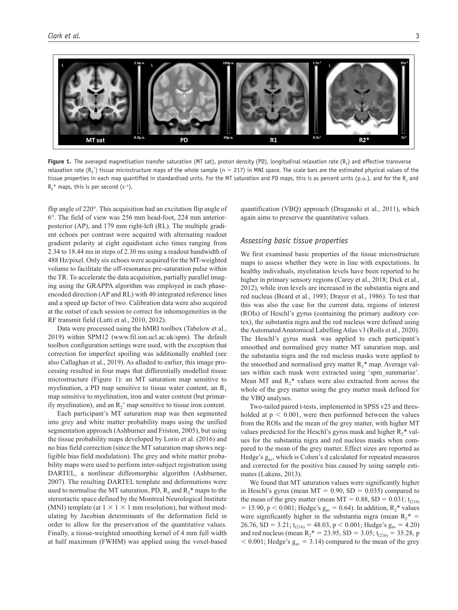

**Figure 1.** The averaged magnetisation transfer saturation (MT sat), proton density (PD), longitudinal relaxation rate  $(R_1)$  and effective transverse relaxation rate ( $R_2$ \*) tissue microstructure maps of the whole sample (n = 217) in MNI space. The scale bars are the estimated physical values of the tissue properties in each map quantified in standardised units. For the MT saturation and PD maps, this is as percent units (p.u.), and for the R<sub>1</sub> and  $R_2^*$  maps, this is per second (s<sup>-1</sup>).

flip angle of 220°. This acquisition had an excitation flip angle of 6°. The field of view was 256 mm head-foot, 224 mm anteriorposterior (AP), and 179 mm right-left (RL). The multiple gradient echoes per contrast were acquired with alternating readout gradient polarity at eight equidistant echo times ranging from 2.34 to 18.44 ms in steps of 2.30 ms using a readout bandwidth of 488 Hz/pixel. Only six echoes were acquired for the MT-weighted volume to facilitate the off-resonance pre-saturation pulse within the TR. To accelerate the data acquisition, partially parallel imaging using the GRAPPA algorithm was employed in each phaseencoded direction (AP and RL) with 40 integrated reference lines and a speed up factor of two. Calibration data were also acquired at the outset of each session to correct for inhomogeneities in the RF transmit field (Lutti et al., 2010, 2012).

Data were processed using the hMRI toolbox (Tabelow et al., 2019) within SPM12 [\(www.fil.ion.ucl.ac.uk/spm](www.fil.ion.ucl.ac.uk/spm)). The default toolbox configuration settings were used, with the exception that correction for imperfect spoiling was additionally enabled (see also Callaghan et al., 2019). As alluded to earlier, this image processing resulted in four maps that differentially modelled tissue microstructure (Figure 1): an MT saturation map sensitive to myelination, a PD map sensitive to tissue water content, an  $R_1$ map sensitive to myelination, iron and water content (but primarily myelination), and an  $R_2^*$  map sensitive to tissue iron content.

Each participant's MT saturation map was then segmented into grey and white matter probability maps using the unified segmentation approach (Ashburner and Friston, 2005), but using the tissue probability maps developed by Lorio et al. (2016) and no bias field correction (since the MT saturation map shows negligible bias field modulation). The grey and white matter probability maps were used to perform inter-subject registration using DARTEL, a nonlinear diffeomorphic algorithm (Ashburner, 2007). The resulting DARTEL template and deformations were used to normalise the MT saturation, PD,  $R_1$  and  $R_2^*$  maps to the stereotactic space defined by the Montreal Neurological Institute (MNI) template (at  $1 \times 1 \times 1$  mm resolution), but without modulating by Jacobian determinants of the deformation field in order to allow for the preservation of the quantitative values. Finally, a tissue-weighted smoothing kernel of 4 mm full width at half maximum (FWHM) was applied using the voxel-based

quantification (VBQ) approach (Draganski et al., 2011), which again aims to preserve the quantitative values.

## *Assessing basic tissue properties*

We first examined basic properties of the tissue microstructure maps to assess whether they were in line with expectations. In healthy individuals, myelination levels have been reported to be higher in primary sensory regions (Carey et al., 2018; Dick et al., 2012), while iron levels are increased in the substantia nigra and red nucleus (Beard et al., 1993; Drayer et al., 1986). To test that this was also the case for the current data, regions of interest (ROIs) of Heschl's gyrus (containing the primary auditory cortex), the substantia nigra and the red nucleus were defined using the Automated Anatomical Labelling Atlas v3 (Rolls et al., 2020). The Heschl's gyrus mask was applied to each participant's smoothed and normalised grey matter MT saturation map, and the substantia nigra and the red nucleus masks were applied to the smoothed and normalised grey matter  $R_2^*$  map. Average values within each mask were extracted using 'spm\_summarise'. Mean MT and  $R_2^*$  values were also extracted from across the whole of the grey matter using the grey matter mask defined for the VBQ analyses.

Two-tailed paired t-tests, implemented in SPSS v25 and thresholded at  $p < 0.001$ , were then performed between the values from the ROIs and the mean of the grey matter, with higher MT values predicted for the Heschl's gyrus mask and higher  $R_2^*$  values for the substantia nigra and red nucleus masks when compared to the mean of the grey matter. Effect sizes are reported as Hedge's  $g_{av}$ , which is Cohen's d calculated for repeated measures and corrected for the positive bias caused by using sample estimates (Lakens, 2013).

We found that MT saturation values were significantly higher in Heschl's gyrus (mean  $MT = 0.90$ ,  $SD = 0.035$ ) compared to the mean of the grey matter (mean MT =  $0.88$ , SD =  $0.031$ ; t<sub>(216)</sub> = 15.90, p < 0.001; Hedge's  $g_{av}$  = 0.64). In addition,  $R_2^*$  values were significantly higher in the substantia nigra (mean  $R_2^* =$ 26.76, SD = 3.21;  $t_{(216)} = 48.03$ , p < 0.001; Hedge's  $g_{av} = 4.20$ ) and red nucleus (mean R<sub>2</sub><sup>\*</sup> = 23.95, SD = 3.05; t<sub>(216)</sub> = 35.28, p  $< 0.001$ ; Hedge's  $g_{av} = 3.14$ ) compared to the mean of the grey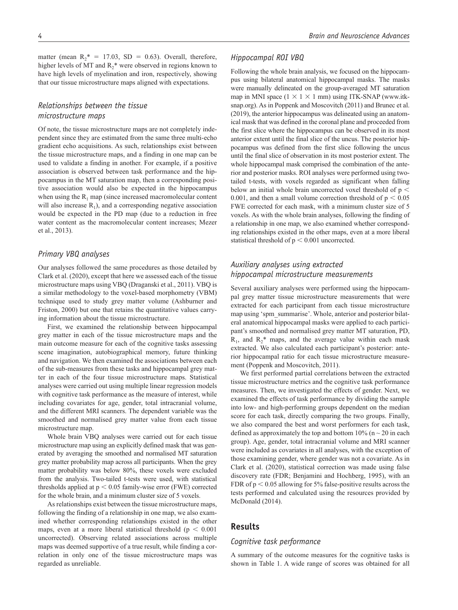matter (mean  $R_2^* = 17.03$ , SD = 0.63). Overall, therefore, higher levels of MT and  $R_2^*$  were observed in regions known to have high levels of myelination and iron, respectively, showing that our tissue microstructure maps aligned with expectations.

# *Relationships between the tissue microstructure maps*

Of note, the tissue microstructure maps are not completely independent since they are estimated from the same three multi-echo gradient echo acquisitions. As such, relationships exist between the tissue microstructure maps, and a finding in one map can be used to validate a finding in another. For example, if a positive association is observed between task performance and the hippocampus in the MT saturation map, then a corresponding positive association would also be expected in the hippocampus when using the  $R_1$  map (since increased macromolecular content will also increase  $R_1$ ), and a corresponding negative association would be expected in the PD map (due to a reduction in free water content as the macromolecular content increases; Mezer et al., 2013).

# *Primary VBQ analyses*

Our analyses followed the same procedures as those detailed by Clark et al. (2020), except that here we assessed each of the tissue microstructure maps using VBQ (Draganski et al., 2011). VBQ is a similar methodology to the voxel-based morphometry (VBM) technique used to study grey matter volume (Ashburner and Friston, 2000) but one that retains the quantitative values carrying information about the tissue microstructure.

First, we examined the relationship between hippocampal grey matter in each of the tissue microstructure maps and the main outcome measure for each of the cognitive tasks assessing scene imagination, autobiographical memory, future thinking and navigation. We then examined the associations between each of the sub-measures from these tasks and hippocampal grey matter in each of the four tissue microstructure maps. Statistical analyses were carried out using multiple linear regression models with cognitive task performance as the measure of interest, while including covariates for age, gender, total intracranial volume, and the different MRI scanners. The dependent variable was the smoothed and normalised grey matter value from each tissue microstructure map.

Whole brain VBQ analyses were carried out for each tissue microstructure map using an explicitly defined mask that was generated by averaging the smoothed and normalised MT saturation grey matter probability map across all participants. When the grey matter probability was below 80%, these voxels were excluded from the analysis. Two-tailed t-tests were used, with statistical thresholds applied at p < 0.05 family-wise error (FWE) corrected for the whole brain, and a minimum cluster size of 5 voxels.

As relationships exist between the tissue microstructure maps, following the finding of a relationship in one map, we also examined whether corresponding relationships existed in the other maps, even at a more liberal statistical threshold ( $p < 0.001$ ) uncorrected). Observing related associations across multiple maps was deemed supportive of a true result, while finding a correlation in only one of the tissue microstructure maps was regarded as unreliable.

# *Hippocampal ROI VBQ*

Following the whole brain analysis, we focused on the hippocampus using bilateral anatomical hippocampal masks. The masks were manually delineated on the group-averaged MT saturation map in MNI space  $(1 \times 1 \times 1$  mm) using ITK-SNAP ([www.itk](www.itksnap.org)[snap.org](www.itksnap.org)). As in Poppenk and Moscovitch (2011) and Brunec et al. (2019), the anterior hippocampus was delineated using an anatomical mask that was defined in the coronal plane and proceeded from the first slice where the hippocampus can be observed in its most anterior extent until the final slice of the uncus. The posterior hippocampus was defined from the first slice following the uncus until the final slice of observation in its most posterior extent. The whole hippocampal mask comprised the combination of the anterior and posterior masks. ROI analyses were performed using twotailed t-tests, with voxels regarded as significant when falling below an initial whole brain uncorrected voxel threshold of p < 0.001, and then a small volume correction threshold of  $p < 0.05$ FWE corrected for each mask, with a minimum cluster size of 5 voxels. As with the whole brain analyses, following the finding of a relationship in one map, we also examined whether corresponding relationships existed in the other maps, even at a more liberal statistical threshold of p < 0.001 uncorrected.

# *Auxiliary analyses using extracted hippocampal microstructure measurements*

Several auxiliary analyses were performed using the hippocampal grey matter tissue microstructure measurements that were extracted for each participant from each tissue microstructure map using 'spm\_summarise'. Whole, anterior and posterior bilateral anatomical hippocampal masks were applied to each participant's smoothed and normalised grey matter MT saturation, PD,  $R_1$ , and  $R_2$ <sup>\*</sup> maps, and the average value within each mask extracted. We also calculated each participant's posterior: anterior hippocampal ratio for each tissue microstructure measurement (Poppenk and Moscovitch, 2011).

We first performed partial correlations between the extracted tissue microstructure metrics and the cognitive task performance measures. Then, we investigated the effects of gender. Next, we examined the effects of task performance by dividing the sample into low- and high-performing groups dependent on the median score for each task, directly comparing the two groups. Finally, we also compared the best and worst performers for each task, defined as approximately the top and bottom  $10\%$  (n  $\sim$  20 in each group). Age, gender, total intracranial volume and MRI scanner were included as covariates in all analyses, with the exception of those examining gender, where gender was not a covariate. As in Clark et al. (2020), statistical correction was made using false discovery rate (FDR; Benjamini and Hochberg, 1995), with an FDR of  $p < 0.05$  allowing for 5% false-positive results across the tests performed and calculated using the resources provided by McDonald (2014).

# **Results**

## *Cognitive task performance*

A summary of the outcome measures for the cognitive tasks is shown in Table 1. A wide range of scores was obtained for all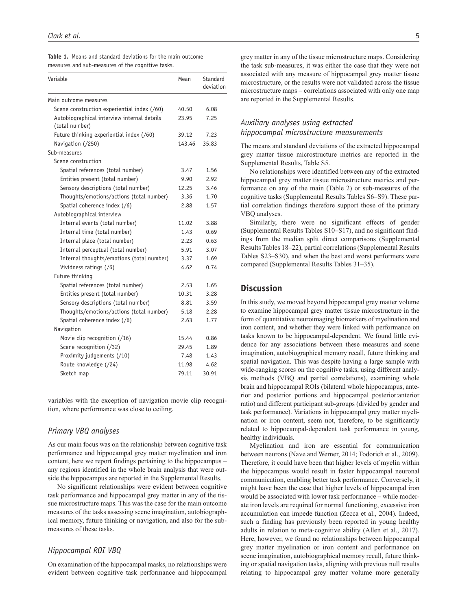| <b>Table 1.</b> Means and standard deviations for the main outcome |  |  |  |
|--------------------------------------------------------------------|--|--|--|
| measures and sub-measures of the cognitive tasks.                  |  |  |  |

| Variable                                                      | Mean   | Standard<br>deviation |
|---------------------------------------------------------------|--------|-----------------------|
| Main outcome measures                                         |        |                       |
| Scene construction experiential index (/60)                   | 40.50  | 6.08                  |
| Autobiographical interview internal details<br>(total number) | 23.95  | 7.25                  |
| Future thinking experiential index (/60)                      | 39.12  | 7.23                  |
| Navigation (/250)                                             | 143.46 | 35.83                 |
| Sub-measures                                                  |        |                       |
| Scene construction                                            |        |                       |
| Spatial references (total number)                             | 3.47   | 1.56                  |
| Entities present (total number)                               | 9.90   | 2.92                  |
| Sensory descriptions (total number)                           | 12.25  | 3.46                  |
| Thoughts/emotions/actions (total number)                      | 3.36   | 1.70                  |
| Spatial coherence index (/6)                                  | 2.88   | 1.57                  |
| Autobiographical interview                                    |        |                       |
| Internal events (total number)                                | 11.02  | 3.88                  |
| Internal time (total number)                                  | 1.43   | 0.69                  |
| Internal place (total number)                                 | 2.23   | 0.63                  |
| Internal perceptual (total number)                            | 5.91   | 3.07                  |
| Internal thoughts/emotions (total number)                     | 3.37   | 1.69                  |
| Vividness ratings (/6)                                        | 4.62   | 0.74                  |
| Future thinking                                               |        |                       |
| Spatial references (total number)                             | 2.53   | 1.65                  |
| Entities present (total number)                               | 10.31  | 3.28                  |
| Sensory descriptions (total number)                           | 8.81   | 3.59                  |
| Thoughts/emotions/actions (total number)                      | 5.18   | 2.28                  |
| Spatial coherence index (/6)                                  | 2.63   | 1.77                  |
| Navigation                                                    |        |                       |
| Movie clip recognition $(16)$                                 | 15.44  | 0.86                  |
| Scene recognition (/32)                                       | 29.45  | 1.89                  |
| Proximity judgements (/10)                                    | 7.48   | 1.43                  |
| Route knowledge (/24)                                         | 11.98  | 4.62                  |
| Sketch map                                                    | 79.11  | 30.91                 |

variables with the exception of navigation movie clip recognition, where performance was close to ceiling.

## *Primary VBQ analyses*

As our main focus was on the relationship between cognitive task performance and hippocampal grey matter myelination and iron content, here we report findings pertaining to the hippocampus – any regions identified in the whole brain analysis that were outside the hippocampus are reported in the Supplemental Results.

No significant relationships were evident between cognitive task performance and hippocampal grey matter in any of the tissue microstructure maps. This was the case for the main outcome measures of the tasks assessing scene imagination, autobiographical memory, future thinking or navigation, and also for the submeasures of these tasks.

## *Hippocampal ROI VBQ*

On examination of the hippocampal masks, no relationships were evident between cognitive task performance and hippocampal grey matter in any of the tissue microstructure maps. Considering the task sub-measures, it was either the case that they were not associated with any measure of hippocampal grey matter tissue microstructure, or the results were not validated across the tissue microstructure maps – correlations associated with only one map are reported in the Supplemental Results.

# *Auxiliary analyses using extracted hippocampal microstructure measurements*

The means and standard deviations of the extracted hippocampal grey matter tissue microstructure metrics are reported in the Supplemental Results, Table S5.

No relationships were identified between any of the extracted hippocampal grey matter tissue microstructure metrics and performance on any of the main (Table 2) or sub-measures of the cognitive tasks (Supplemental Results Tables S6–S9). These partial correlation findings therefore support those of the primary VBQ analyses.

Similarly, there were no significant effects of gender (Supplemental Results Tables S10–S17), and no significant findings from the median split direct comparisons (Supplemental Results Tables 18–22), partial correlations (Supplemental Results Tables S23–S30), and when the best and worst performers were compared (Supplemental Results Tables 31–35).

# **Discussion**

In this study, we moved beyond hippocampal grey matter volume to examine hippocampal grey matter tissue microstructure in the form of quantitative neuroimaging biomarkers of myelination and iron content, and whether they were linked with performance on tasks known to be hippocampal-dependent. We found little evidence for any associations between these measures and scene imagination, autobiographical memory recall, future thinking and spatial navigation. This was despite having a large sample with wide-ranging scores on the cognitive tasks, using different analysis methods (VBQ and partial correlations), examining whole brain and hippocampal ROIs (bilateral whole hippocampus, anterior and posterior portions and hippocampal posterior:anterior ratio) and different participant sub-groups (divided by gender and task performance). Variations in hippocampal grey matter myelination or iron content, seem not, therefore, to be significantly related to hippocampal-dependent task performance in young, healthy individuals.

Myelination and iron are essential for communication between neurons (Nave and Werner, 2014; Todorich et al., 2009). Therefore, it could have been that higher levels of myelin within the hippocampus would result in faster hippocampal neuronal communication, enabling better task performance. Conversely, it might have been the case that higher levels of hippocampal iron would be associated with lower task performance – while moderate iron levels are required for normal functioning, excessive iron accumulation can impede function (Zecca et al., 2004). Indeed, such a finding has previously been reported in young healthy adults in relation to meta-cognitive ability (Allen et al., 2017). Here, however, we found no relationships between hippocampal grey matter myelination or iron content and performance on scene imagination, autobiographical memory recall, future thinking or spatial navigation tasks, aligning with previous null results relating to hippocampal grey matter volume more generally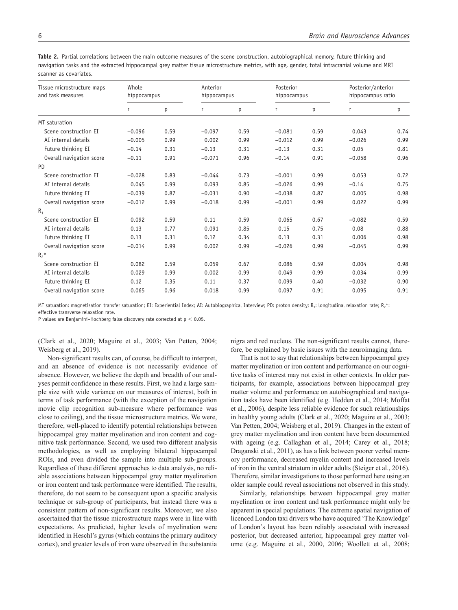**Table 2.** Partial correlations between the main outcome measures of the scene construction, autobiographical memory, future thinking and navigation tasks and the extracted hippocampal grey matter tissue microstructure metrics, with age, gender, total intracranial volume and MRI scanner as covariates.

| Tissue microstructure maps<br>and task measures | Whole<br>hippocampus |      | Anterior<br>hippocampus |      | Posterior<br>hippocampus |      | Posterior/anterior<br>hippocampus ratio |      |
|-------------------------------------------------|----------------------|------|-------------------------|------|--------------------------|------|-----------------------------------------|------|
|                                                 | r                    | p    | r                       | p    | r                        | p    | r                                       | p    |
| MT saturation                                   |                      |      |                         |      |                          |      |                                         |      |
| Scene construction EI                           | $-0.096$             | 0.59 | $-0.097$                | 0.59 | $-0.081$                 | 0.59 | 0.043                                   | 0.74 |
| AI internal details                             | $-0.005$             | 0.99 | 0.002                   | 0.99 | $-0.012$                 | 0.99 | $-0.026$                                | 0.99 |
| Future thinking EI                              | $-0.14$              | 0.31 | $-0.13$                 | 0.31 | $-0.13$                  | 0.31 | 0.05                                    | 0.81 |
| Overall navigation score                        | $-0.11$              | 0.91 | $-0.071$                | 0.96 | $-0.14$                  | 0.91 | $-0.058$                                | 0.96 |
| PD                                              |                      |      |                         |      |                          |      |                                         |      |
| Scene construction EI                           | $-0.028$             | 0.83 | $-0.044$                | 0.73 | $-0.001$                 | 0.99 | 0.053                                   | 0.72 |
| AI internal details                             | 0.045                | 0.99 | 0.093                   | 0.85 | $-0.026$                 | 0.99 | $-0.14$                                 | 0.75 |
| Future thinking EI                              | $-0.039$             | 0.87 | $-0.031$                | 0.90 | $-0.038$                 | 0.87 | 0.005                                   | 0.98 |
| Overall navigation score                        | $-0.012$             | 0.99 | $-0.018$                | 0.99 | $-0.001$                 | 0.99 | 0.022                                   | 0.99 |
| $R_{1}$                                         |                      |      |                         |      |                          |      |                                         |      |
| Scene construction EI                           | 0.092                | 0.59 | 0.11                    | 0.59 | 0.065                    | 0.67 | $-0.082$                                | 0.59 |
| AI internal details                             | 0.13                 | 0.77 | 0.091                   | 0.85 | 0.15                     | 0.75 | 0.08                                    | 0.88 |
| Future thinking EI                              | 0.13                 | 0.31 | 0.12                    | 0.34 | 0.13                     | 0.31 | 0.006                                   | 0.98 |
| Overall navigation score                        | $-0.014$             | 0.99 | 0.002                   | 0.99 | $-0.026$                 | 0.99 | $-0.045$                                | 0.99 |
| $R_2$ *                                         |                      |      |                         |      |                          |      |                                         |      |
| Scene construction EI                           | 0.082                | 0.59 | 0.059                   | 0.67 | 0.086                    | 0.59 | 0.004                                   | 0.98 |
| AI internal details                             | 0.029                | 0.99 | 0.002                   | 0.99 | 0.049                    | 0.99 | 0.034                                   | 0.99 |
| Future thinking EI                              | 0.12                 | 0.35 | 0.11                    | 0.37 | 0.099                    | 0.40 | $-0.032$                                | 0.90 |
| Overall navigation score                        | 0.065                | 0.96 | 0.018                   | 0.99 | 0.097                    | 0.91 | 0.095                                   | 0.91 |

MT saturation: magnetisation transfer saturation: EI: Experiential Index: AI: Autobiographical Interview: PD: proton density: R.: longitudinal relaxation rate: R.\*: effective transverse relaxation rate.

P values are Benjamini–Hochberg false discovery rate corrected at  $p < 0.05$ .

(Clark et al., 2020; Maguire et al., 2003; Van Petten, 2004; Weisberg et al., 2019).

Non-significant results can, of course, be difficult to interpret, and an absence of evidence is not necessarily evidence of absence. However, we believe the depth and breadth of our analyses permit confidence in these results. First, we had a large sample size with wide variance on our measures of interest, both in terms of task performance (with the exception of the navigation movie clip recognition sub-measure where performance was close to ceiling), and the tissue microstructure metrics. We were, therefore, well-placed to identify potential relationships between hippocampal grey matter myelination and iron content and cognitive task performance. Second, we used two different analysis methodologies, as well as employing bilateral hippocampal ROIs, and even divided the sample into multiple sub-groups. Regardless of these different approaches to data analysis, no reliable associations between hippocampal grey matter myelination or iron content and task performance were identified. The results, therefore, do not seem to be consequent upon a specific analysis technique or sub-group of participants, but instead there was a consistent pattern of non-significant results. Moreover, we also ascertained that the tissue microstructure maps were in line with expectations. As predicted, higher levels of myelination were identified in Heschl's gyrus (which contains the primary auditory cortex), and greater levels of iron were observed in the substantia nigra and red nucleus. The non-significant results cannot, therefore, be explained by basic issues with the neuroimaging data.

That is not to say that relationships between hippocampal grey matter myelination or iron content and performance on our cognitive tasks of interest may not exist in other contexts. In older participants, for example, associations between hippocampal grey matter volume and performance on autobiographical and navigation tasks have been identified (e.g. Hedden et al., 2014; Moffat et al., 2006), despite less reliable evidence for such relationships in healthy young adults (Clark et al., 2020; Maguire et al., 2003; Van Petten, 2004; Weisberg et al., 2019). Changes in the extent of grey matter myelination and iron content have been documented with ageing (e.g. Callaghan et al., 2014; Carey et al., 2018; Draganski et al., 2011), as has a link between poorer verbal memory performance, decreased myelin content and increased levels of iron in the ventral striatum in older adults (Steiger et al., 2016). Therefore, similar investigations to those performed here using an older sample could reveal associations not observed in this study.

Similarly, relationships between hippocampal grey matter myelination or iron content and task performance might only be apparent in special populations. The extreme spatial navigation of licenced London taxi drivers who have acquired 'The Knowledge' of London's layout has been reliably associated with increased posterior, but decreased anterior, hippocampal grey matter volume (e.g. Maguire et al., 2000, 2006; Woollett et al., 2008;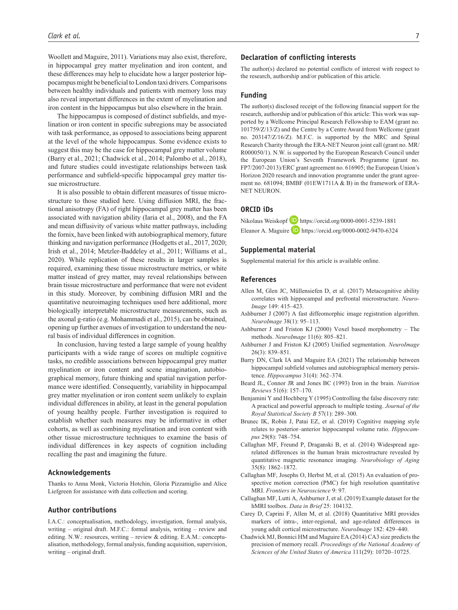Woollett and Maguire, 2011). Variations may also exist, therefore, in hippocampal grey matter myelination and iron content, and these differences may help to elucidate how a larger posterior hippocampus might be beneficial to London taxi drivers. Comparisons between healthy individuals and patients with memory loss may also reveal important differences in the extent of myelination and iron content in the hippocampus but also elsewhere in the brain.

The hippocampus is composed of distinct subfields, and myelination or iron content in specific subregions may be associated with task performance, as opposed to associations being apparent at the level of the whole hippocampus. Some evidence exists to suggest this may be the case for hippocampal grey matter volume (Barry et al., 2021; Chadwick et al., 2014; Palombo et al., 2018), and future studies could investigate relationships between task performance and subfield-specific hippocampal grey matter tissue microstructure.

It is also possible to obtain different measures of tissue microstructure to those studied here. Using diffusion MRI, the fractional anisotropy (FA) of right hippocampal grey matter has been associated with navigation ability (Iaria et al., 2008), and the FA and mean diffusivity of various white matter pathways, including the fornix, have been linked with autobiographical memory, future thinking and navigation performance (Hodgetts et al., 2017, 2020; Irish et al., 2014; Metzler-Baddeley et al., 2011; Williams et al., 2020). While replication of these results in larger samples is required, examining these tissue microstructure metrics, or white matter instead of grey matter, may reveal relationships between brain tissue microstructure and performance that were not evident in this study. Moreover, by combining diffusion MRI and the quantitative neuroimaging techniques used here additional, more biologically interpretable microstructure measurements, such as the axonal g-ratio (e.g. Mohammadi et al., 2015), can be obtained, opening up further avenues of investigation to understand the neural basis of individual differences in cognition.

In conclusion, having tested a large sample of young healthy participants with a wide range of scores on multiple cognitive tasks, no credible associations between hippocampal grey matter myelination or iron content and scene imagination, autobiographical memory, future thinking and spatial navigation performance were identified. Consequently, variability in hippocampal grey matter myelination or iron content seem unlikely to explain individual differences in ability, at least in the general population of young healthy people. Further investigation is required to establish whether such measures may be informative in other cohorts, as well as combining myelination and iron content with other tissue microstructure techniques to examine the basis of individual differences in key aspects of cognition including recalling the past and imagining the future.

#### **Acknowledgements**

Thanks to Anna Monk, Victoria Hotchin, Gloria Pizzamiglio and Alice Liefgreen for assistance with data collection and scoring.

### **Author contributions**

I.A.C.: conceptualisation, methodology, investigation, formal analysis, writing – original draft. M.F.C.: formal analysis, writing – review and editing. N.W.: resources, writing – review & editing. E.A.M.: conceptualisation, methodology, formal analysis, funding acquisition, supervision, writing – original draft.

## **Declaration of conflicting interests**

The author(s) declared no potential conflicts of interest with respect to the research, authorship and/or publication of this article.

#### **Funding**

The author(s) disclosed receipt of the following financial support for the research, authorship and/or publication of this article: This work was supported by a Wellcome Principal Research Fellowship to EAM (grant no. 101759/Z/13/Z) and the Centre by a Centre Award from Wellcome (grant no. 203147/Z/16/Z). M.F.C. is supported by the MRC and Spinal Research Charity through the ERA-NET Neuron joint call (grant no. MR/ R000050/1). N.W. is supported by the European Research Council under the European Union's Seventh Framework Programme (grant no. FP7/2007-2013)/ERC grant agreement no. 616905; the European Union's Horizon 2020 research and innovation programme under the grant agreement no. 681094; BMBF (01EW1711A & B) in the framework of ERA-NET NEURON.

## **ORCID iDs**

Nikolaus Weiskopf D <https://orcid.org/0000-0001-5239-1881> Eleanor A. Maguire  $\Box$  <https://orcid.org/0000-0002-9470-6324>

### **Supplemental material**

Supplemental material for this article is available online.

#### **References**

- Allen M, Glen JC, Müllensiefen D, et al. (2017) Metacognitive ability correlates with hippocampal and prefrontal microstructure. *Neuro-Image* 149: 415–423.
- Ashburner J (2007) A fast diffeomorphic image registration algorithm. *NeuroImage* 38(1): 95–113.
- Ashburner J and Friston KJ (2000) Voxel based morphometry The methods. *NeuroImage* 11(6): 805–821.
- Ashburner J and Friston KJ (2005) Unified segmentation. *NeuroImage* 26(3): 839–851.
- Barry DN, Clark IA and Maguire EA (2021) The relationship between hippocampal subfield volumes and autobiographical memory persistence. *Hippocampus* 31(4): 362–374.
- Beard JL, Connor JR and Jones BC (1993) Iron in the brain. *Nutrition Reviews* 51(6): 157–170.
- Benjamini Y and Hochberg Y (1995) Controlling the false discovery rate: A practical and powerful approach to multiple testing. *Journal of the Royal Statistical Society B* 57(1): 289–300.
- Brunec IK, Robin J, Patai EZ, et al. (2019) Cognitive mapping style relates to posterior–anterior hippocampal volume ratio. *Hippocampus* 29(8): 748–754.
- Callaghan MF, Freund P, Draganski B, et al. (2014) Widespread agerelated differences in the human brain microstructure revealed by quantitative magnetic resonance imaging. *Neurobiology of Aging* 35(8): 1862–1872.
- Callaghan MF, Josephs O, Herbst M, et al. (2015) An evaluation of prospective motion correction (PMC) for high resolution quantitative MRI. *Frontiers in Neuroscience* 9: 97.
- Callaghan MF, Lutti A, Ashburner J, et al. (2019) Example dataset for the hMRI toolbox. *Data in Brief* 25: 104132.
- Carey D, Caprini F, Allen M, et al. (2018) Quantitative MRI provides markers of intra-, inter-regional, and age-related differences in young adult cortical microstructure. *NeuroImage* 182: 429–440.
- Chadwick MJ, Bonnici HM and Maguire EA (2014) CA3 size predicts the precision of memory recall. *Proceedings of the National Academy of Sciences of the United States of America* 111(29): 10720–10725.